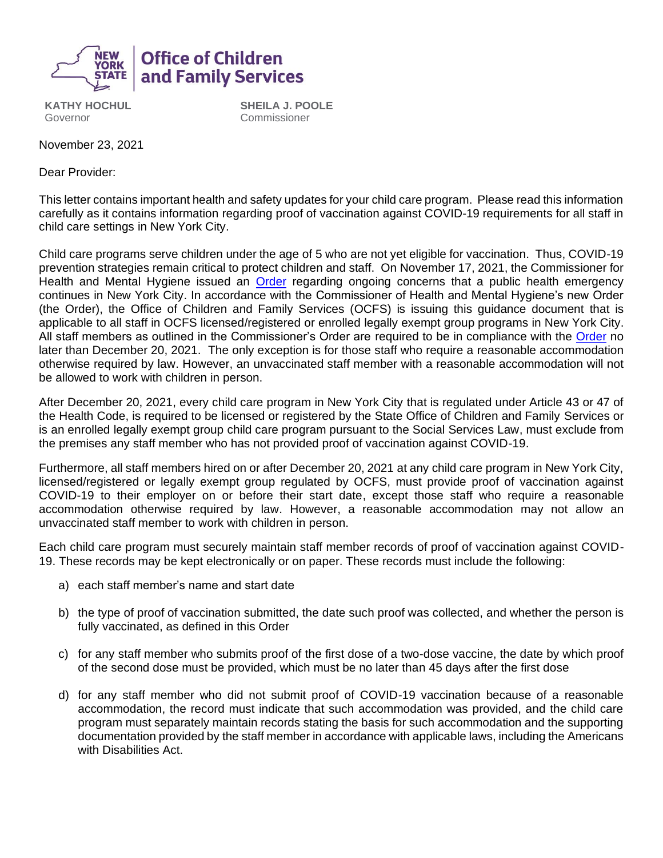

**KATHY HOCHUL** Governor

**SHEILA J. POOLE** Commissioner

November 23, 2021

Dear Provider:

This letter contains important health and safety updates for your child care program. Please read this information carefully as it contains information regarding proof of vaccination against COVID-19 requirements for all staff in child care settings in New York City.

Child care programs serve children under the age of 5 who are not yet eligible for vaccination. Thus, COVID-19 prevention strategies remain critical to protect children and staff. On November 17, 2021, the Commissioner for Health and Mental Hygiene issued an [Order](https://www1.nyc.gov/assets/doh/downloads/pdf/covid/vaccination-face-coverings-child-care-early-intervention.pdf) regarding ongoing concerns that a public health emergency continues in New York City. In accordance with the Commissioner of Health and Mental Hygiene's new Order (the Order), the Office of Children and Family Services (OCFS) is issuing this guidance document that is applicable to all staff in OCFS licensed/registered or enrolled legally exempt group programs in New York City. All staff members as outlined in the Commissioner's [Order](https://www1.nyc.gov/assets/doh/downloads/pdf/covid/vaccination-face-coverings-child-care-early-intervention.pdf) are required to be in compliance with the Order no later than December 20, 2021. The only exception is for those staff who require a reasonable accommodation otherwise required by law. However, an unvaccinated staff member with a reasonable accommodation will not be allowed to work with children in person.

After December 20, 2021, every child care program in New York City that is regulated under Article 43 or 47 of the Health Code, is required to be licensed or registered by the State Office of Children and Family Services or is an enrolled legally exempt group child care program pursuant to the Social Services Law, must exclude from the premises any staff member who has not provided proof of vaccination against COVID-19.

Furthermore, all staff members hired on or after December 20, 2021 at any child care program in New York City, licensed/registered or legally exempt group regulated by OCFS, must provide proof of vaccination against COVID-19 to their employer on or before their start date, except those staff who require a reasonable accommodation otherwise required by law. However, a reasonable accommodation may not allow an unvaccinated staff member to work with children in person.

Each child care program must securely maintain staff member records of proof of vaccination against COVID-19. These records may be kept electronically or on paper. These records must include the following:

- a) each staff member's name and start date
- b) the type of proof of vaccination submitted, the date such proof was collected, and whether the person is fully vaccinated, as defined in this Order
- c) for any staff member who submits proof of the first dose of a two-dose vaccine, the date by which proof of the second dose must be provided, which must be no later than 45 days after the first dose
- d) for any staff member who did not submit proof of COVID-19 vaccination because of a reasonable accommodation, the record must indicate that such accommodation was provided, and the child care program must separately maintain records stating the basis for such accommodation and the supporting documentation provided by the staff member in accordance with applicable laws, including the Americans with Disabilities Act.